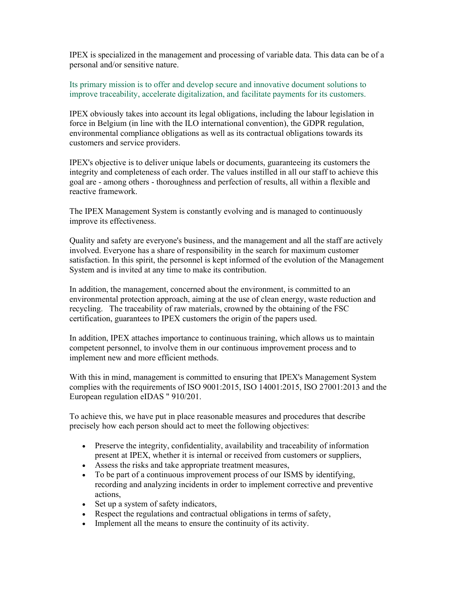IPEX is specialized in the management and processing of variable data. This data can be of a personal and/or sensitive nature.

Its primary mission is to offer and develop secure and innovative document solutions to improve traceability, accelerate digitalization, and facilitate payments for its customers.

IPEX obviously takes into account its legal obligations, including the labour legislation in force in Belgium (in line with the ILO international convention), the GDPR regulation, environmental compliance obligations as well as its contractual obligations towards its customers and service providers.

IPEX's objective is to deliver unique labels or documents, guaranteeing its customers the integrity and completeness of each order. The values instilled in all our staff to achieve this goal are - among others - thoroughness and perfection of results, all within a flexible and reactive framework.

The IPEX Management System is constantly evolving and is managed to continuously improve its effectiveness.

Quality and safety are everyone's business, and the management and all the staff are actively involved. Everyone has a share of responsibility in the search for maximum customer satisfaction. In this spirit, the personnel is kept informed of the evolution of the Management System and is invited at any time to make its contribution.

In addition, the management, concerned about the environment, is committed to an environmental protection approach, aiming at the use of clean energy, waste reduction and recycling. The traceability of raw materials, crowned by the obtaining of the FSC certification, guarantees to IPEX customers the origin of the papers used.

In addition, IPEX attaches importance to continuous training, which allows us to maintain competent personnel, to involve them in our continuous improvement process and to implement new and more efficient methods.

With this in mind, management is committed to ensuring that IPEX's Management System complies with the requirements of ISO 9001:2015, ISO 14001:2015, ISO 27001:2013 and the European regulation eIDAS " 910/201.

To achieve this, we have put in place reasonable measures and procedures that describe precisely how each person should act to meet the following objectives:

- Preserve the integrity, confidentiality, availability and traceability of information present at IPEX, whether it is internal or received from customers or suppliers,
- Assess the risks and take appropriate treatment measures,
- To be part of a continuous improvement process of our ISMS by identifying, recording and analyzing incidents in order to implement corrective and preventive actions,
- Set up a system of safety indicators,
- Respect the regulations and contractual obligations in terms of safety,
- Implement all the means to ensure the continuity of its activity.